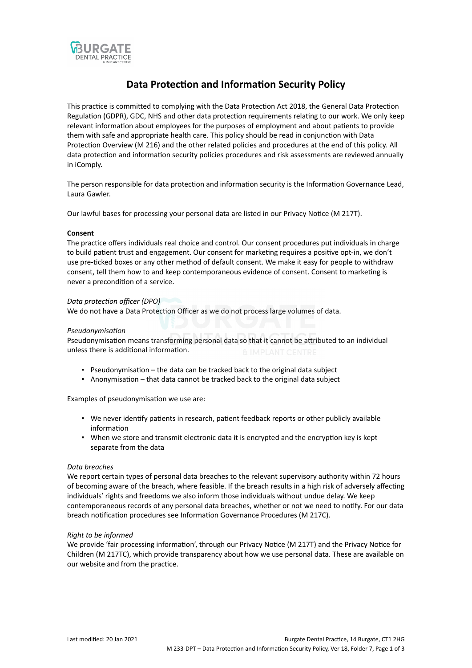

# **Data Protection and Information Security Policy**

This practice is committed to complying with the Data Protection Act 2018, the General Data Protection Regulation (GDPR), GDC, NHS and other data protection requirements relating to our work. We only keep relevant information about employees for the purposes of employment and about patients to provide them with safe and appropriate health care. This policy should be read in conjunction with Data Protection Overview (M 216) and the other related policies and procedures at the end of this policy. All data protection and information security policies procedures and risk assessments are reviewed annually in iComply.

The person responsible for data protection and information security is the Information Governance Lead, Laura Gawler.

Our lawful bases for processing your personal data are listed in our Privacy Notice (M 217T).

## **Consent**

The practice offers individuals real choice and control. Our consent procedures put individuals in charge to build patient trust and engagement. Our consent for marketing requires a positive opt-in, we don't use pre-ticked boxes or any other method of default consent. We make it easy for people to withdraw consent, tell them how to and keep contemporaneous evidence of consent. Consent to marketing is never a precondition of a service.

## *Data protection officer (DPO)*

We do not have a Data Protection Officer as we do not process large volumes of data.

## *Pseudonymisation*

Pseudonymisation means transforming personal data so that it cannot be attributed to an individual unless there is additional information.

- Pseudonymisation the data can be tracked back to the original data subject
- Anonymisation that data cannot be tracked back to the original data subject

Examples of pseudonymisation we use are:

- We never identify patients in research, patient feedback reports or other publicly available information
- When we store and transmit electronic data it is encrypted and the encryption key is kept separate from the data

## *Data breaches*

We report certain types of personal data breaches to the relevant supervisory authority within 72 hours of becoming aware of the breach, where feasible. If the breach results in a high risk of adversely affecting individuals' rights and freedoms we also inform those individuals without undue delay. We keep contemporaneous records of any personal data breaches, whether or not we need to notify. For our data breach notification procedures see Information Governance Procedures (M 217C).

## *Right to be informed*

We provide 'fair processing information', through our Privacy Notice (M 217T) and the Privacy Notice for Children (M 217TC), which provide transparency about how we use personal data. These are available on our website and from the practice.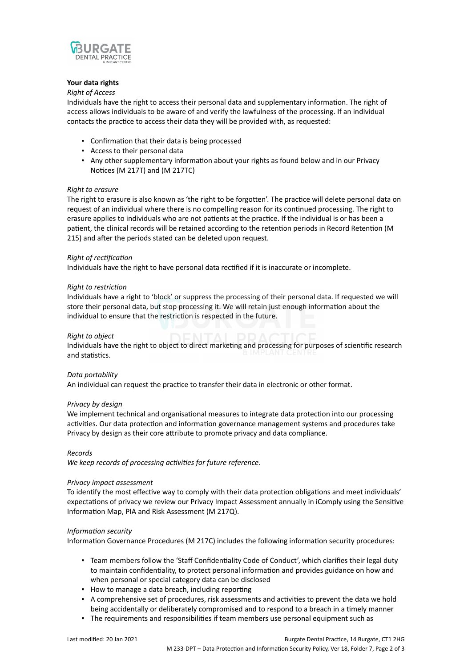

## **Your data rights**

## *Right of Access*

Individuals have the right to access their personal data and supplementary information. The right of access allows individuals to be aware of and verify the lawfulness of the processing. If an individual contacts the practice to access their data they will be provided with, as requested:

- Confirmation that their data is being processed
- Access to their personal data
- Any other supplementary information about your rights as found below and in our Privacy Notices (M 217T) and (M 217TC)

## *Right to erasure*

The right to erasure is also known as 'the right to be forgotten'. The practice will delete personal data on request of an individual where there is no compelling reason for its continued processing. The right to erasure applies to individuals who are not patients at the practice. If the individual is or has been a patient, the clinical records will be retained according to the retention periods in Record Retention (M 215) and after the periods stated can be deleted upon request.

## *Right of rectification*

Individuals have the right to have personal data rectified if it is inaccurate or incomplete.

## *Right to restriction*

Individuals have a right to 'block' or suppress the processing of their personal data. If requested we will store their personal data, but stop processing it. We will retain just enough information about the individual to ensure that the restriction is respected in the future.

## *Right to object*

Individuals have the right to object to direct marketing and processing for purposes of scientific research and statistics.

## *Data portability*

An individual can request the practice to transfer their data in electronic or other format.

## *Privacy by design*

We implement technical and organisational measures to integrate data protection into our processing activities. Our data protection and information governance management systems and procedures take Privacy by design as their core attribute to promote privacy and data compliance.

## *Records*

*We keep records of processing activities for future reference.*

## *Privacy impact assessment*

To identify the most effective way to comply with their data protection obligations and meet individuals' expectations of privacy we review our Privacy Impact Assessment annually in iComply using the Sensitive Information Map, PIA and Risk Assessment (M 217Q).

## *Information security*

Information Governance Procedures (M 217C) includes the following information security procedures:

- Team members follow the 'Staff Confidentiality Code of Conduct', which clarifies their legal duty to maintain confidentiality, to protect personal information and provides guidance on how and when personal or special category data can be disclosed
- How to manage a data breach, including reporting
- A comprehensive set of procedures, risk assessments and activities to prevent the data we hold being accidentally or deliberately compromised and to respond to a breach in a timely manner
- The requirements and responsibilities if team members use personal equipment such as